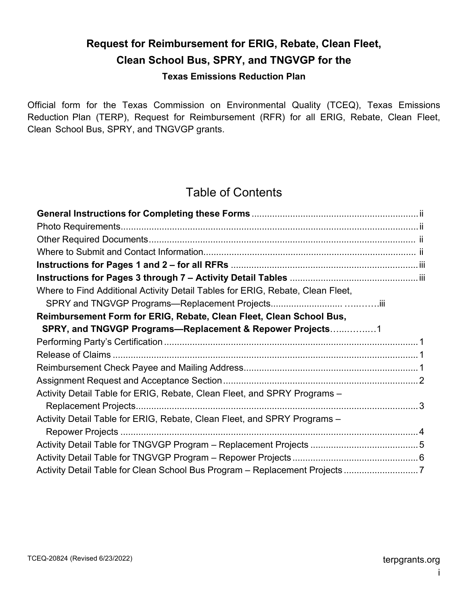# **Request for Reimbursement for ERIG, Rebate, Clean Fleet, Clean School Bus, SPRY, and TNGVGP for the**

#### **Texas Emissions Reduction Plan**

 Reduction Plan (TERP), Request for Reimbursement (RFR) for all ERIG, Rebate, Clean Fleet, Clean School Bus, SPRY, and TNGVGP grants. Official form for the Texas Commission on Environmental Quality (TCEQ), Texas Emissions

## Table of Contents

| Where to Find Additional Activity Detail Tables for ERIG, Rebate, Clean Fleet, |
|--------------------------------------------------------------------------------|
|                                                                                |
| Reimbursement Form for ERIG, Rebate, Clean Fleet, Clean School Bus,            |
| SPRY, and TNGVGP Programs-Replacement & Repower Projects1                      |
|                                                                                |
|                                                                                |
|                                                                                |
|                                                                                |
| Activity Detail Table for ERIG, Rebate, Clean Fleet, and SPRY Programs -       |
|                                                                                |
| Activity Detail Table for ERIG, Rebate, Clean Fleet, and SPRY Programs -       |
|                                                                                |
|                                                                                |
|                                                                                |
| Activity Detail Table for Clean School Bus Program - Replacement Projects 7    |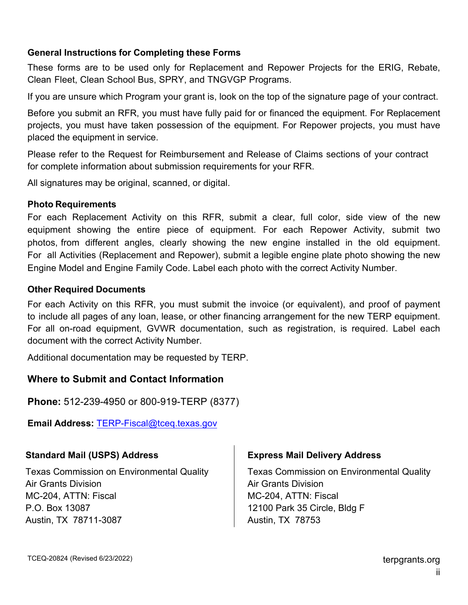## <span id="page-1-0"></span> **General Instructions for Completing these Forms**

These forms are to be used only for Replacement and Repower Projects for the ERIG, Rebate, Clean Fleet, Clean School Bus, SPRY, and TNGVGP Programs.

If you are unsure which Program your grant is, look [on the to](https://www.tceq.texas.gov/airquality/terp/)p of the signature page of your contract.

 Before you submit an RFR, you must have fully paid for or financed the equipment. For Replacement projects, you must have taken possession of the equipment. For Repower projects, you must have placed the equipment in service.

 Please refer to the Request for Reimbursement and Release of Claims sections of your contract for complete information about submission requirements for your RFR.

All signatures may be original, scanned, or digital.

#### **Photo Requirements**

<span id="page-1-1"></span> photos, from different angles, clearly showing the new engine installed in the old equipment. For each Replacement Activity on this RFR, submit a clear, full color, side view of the new equipment showing the entire piece of equipment. For each Repower Activity, submit two For all Activities (Replacement and Repower), submit a legible engine plate photo showing the new Engine Model and Engine Family Code. Label each photo with the correct Activity Number.

#### <span id="page-1-2"></span>**Other Required Documents**

For each Activity on this RFR, you must submit the invoice (or equivalent), and proof of payment to include all pages of any loan, lease, or other financing arrangement for the new TERP equipment. For all on-road equipment, GVWR documentation, such as registration, is required. Label each document with the correct Activity Number.

Additional documentation may be requested by TERP.

## **Where to Submit and Contact Information**

**Phone:** 512-239-4950 or 800-919-TERP (8377)

<span id="page-1-3"></span>**Email Address:** [TERP-Fiscal@tceq.texas.gov](mailto:TERP-Fiscal@tceq.texas.gov)

## <span id="page-1-4"></span>**Standard Mail (USPS) Address**

Texas Commission on Environmental Quality Air Grants Division MC-204, ATTN: Fiscal P.O. Box 13087 Austin, TX 78711-3087

#### **Express Mail Delivery Address**

Texas Commission on Environmental Quality Air Grants Division MC-204, ATTN: Fiscal 12100 Park 35 Circle, Bldg F Austin, TX 78753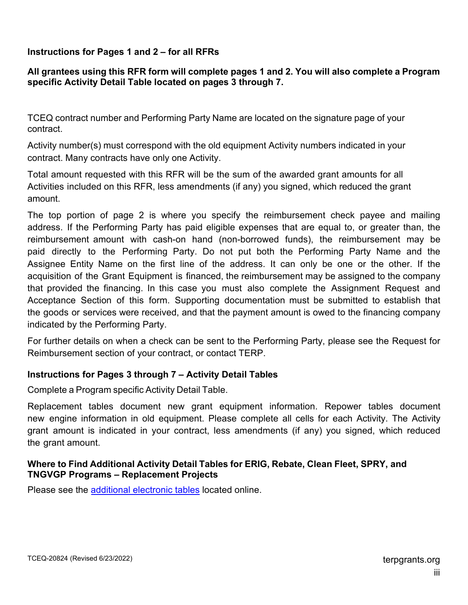## **Instructions for Pages 1 and 2 – for all RFRs**

#### **All grantees using this RFR form will complete pages 1 and 2. You will also complete a Program specific Activity Detail Table located on pages 3 thr[ough](https://www.tceq.texas.gov/airquality/terp/) 7.**

 TCEQ contract number and Performing Party Name are located on the signature page of your contract.

 Activity number(s) must correspond with the old equipment Activity numbers indicated in your contract. Many contracts have only one Activity.

 Total amount requested with this RFR will be the sum of the awarded grant amounts for all Activities included on this RFR, less amendments (if any) you signed, which reduced the grant amount.

 The top portion of page 2 is where you specify the reimbursement check payee and mailing address. If the Performing Party has paid eligible expenses that are equal to, or greater than, the paid directly to the Performing Party. Do not put both the Performing Party Name and the acquisition of the Grant Equipment is financed, the reimbursement may be assigned to the company that provided the financing. In this case you must also complete the Assignment Request and Ĩ  $\overline{\phantom{a}}$ reimbursement amount with cash-on hand (non-borrowed funds), the reimbursement may be Assignee Entity Name on the first line of the address. It can only be one or the other. If the Acceptance Section of this form. Supporting documentation must be submitted to establish that the goods or services were received, and that the payment amount is owed to the financing company indicated by the Performing Party.

<span id="page-2-0"></span>For further details on when a check can be sent to the Performing Party, please see the Request for Reimbursement section of your contract, or contact TERP.

#### **In[structions for](https://www.tceq.texas.gov/airquality/terp/) Pages 3 through 7 – Activity Detail Tables**

Complete a Program [specific](https://www.tceq.texas.gov/airquality/terp/erig_docs.html) Activity Detail Table.

<span id="page-2-1"></span> Replacement tables document new grant equipment information. Repower tables document new engine information in old equipment. Please complete all cells for each Activity. The Activity grant amount is indicated in your contract, less amendments (if any) you signed, which reduced the grant amount.

#### <span id="page-2-2"></span> **Where to Find Additional Activity Detail Tables for ERIG, [Rebate,](https://www.tceq.texas.gov/airquality/terp/) Clean Fleet, SPRY, and TNGVGP Programs – Replacement Projects**

Please see the [additional electronic](https://www.tceq.texas.gov/assets/public/implementation/air/terp/fiscal/Additional_Activity_Detail_Tables_for_ERIG_Rebate_Clean_Fleet_Drayage_SPRY_and_TNGVGP_Programs%20_Replacement_Projects.pdf) tables located online.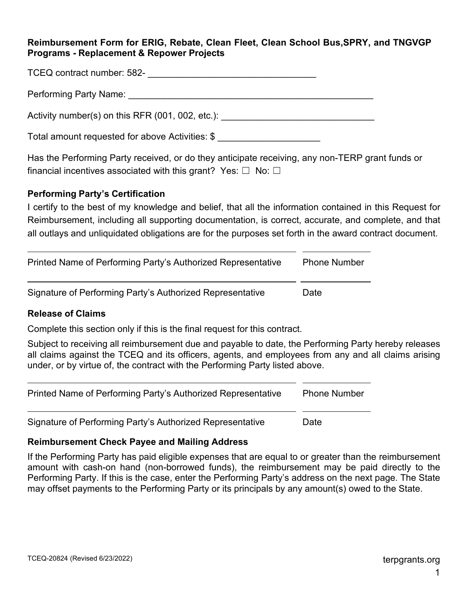#### **Reimbursement Form for ERIG, Rebate, Clean Fleet, Clean School Bus,SPRY, and TNGVGP Programs - Replacement & Repower Projects**

| TCEQ contract number: 582- |  |
|----------------------------|--|
|                            |  |
|                            |  |
|                            |  |

Performing Party Name: **Example 20** and the end of the end of the end of the end of the end of the end of the end of the end of the end of the end of the end of the end of the end of the end of the end of the end of the en

Activity number(s) on this RFR  $(001, 002, etc.)$ :

Total amount requested for above Activities: \$

financial incentives associated with this grant?  $\,$  Yes:  $\Box\,$  No:  $\Box\,$ Has the Performing Party received, or do they anticipate receiving, any non-TERP grant funds or

#### <span id="page-3-0"></span> **Performing Party's Certification**

 I certify to the best of my knowledge and belief, that all the information contained in this Request for Reimbursement, including all supporting documentation, is correct, accurate, and complete, and that all outlays and unliquidated obligations are for the purposes set forth in the award contract document.

| Printed Name of Performing Party's Authorized Representative | <b>Phone Number</b> |
|--------------------------------------------------------------|---------------------|
| Signature of Performing Party's Authorized Representative    | Date                |

#### <span id="page-3-1"></span> **Release of Claims**

Complete this section only if this is the final request for this contract.

 all claims against the TCEQ and its officers, agents, and employees from any and all claims arising Subject to receiving all reimbursement due and payable to date, the Performing Party hereby releases under, or by virtue of, the contract with the Performing Party listed above.

| Printed Name of Performing Party's Authorized Representative | <b>Phone Number</b> |
|--------------------------------------------------------------|---------------------|
|                                                              |                     |

Signature of Performing Party's Authorized Representative Date

## <span id="page-3-2"></span> **Reimbursement Check Payee and Mailing Address**

 If the Performing Party has paid eligible expenses that are equal to or greater than the reimbursement amount with cash-on hand (non-borrowed funds), the reimbursement may be paid directly to the may offset payments to the Performing Party or its principals by any amount(s) owed to the State. Performing Party. If this is the case, enter the Performing Party's address on the next page. The State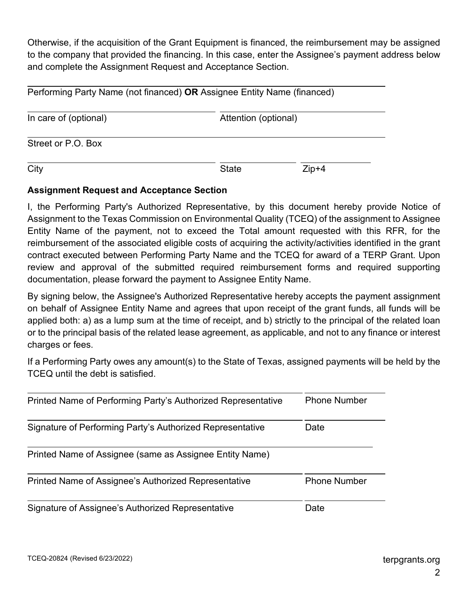Otherwise, if the acquisition of the Grant Equipment is financed, the reimbursement may be assigned to the company that provided the financing. In this case, enter the Assignee's payment address below and complete the Assignment Request and Acceptance Section.

| Performing Party Name (not financed) OR Assignee Entity Name (financed) |                      |       |
|-------------------------------------------------------------------------|----------------------|-------|
| In care of (optional)                                                   | Attention (optional) |       |
| Street or P.O. Box                                                      |                      |       |
| City                                                                    | <b>State</b>         | Zip+4 |

## <span id="page-4-0"></span> **Assignment Request and Acceptance Section**

 I, the Performing Party's Authorized Representative, by this document hereby provide Notice of Assignment to the Texas Commission on Environmental Quality (TCEQ) of the assignment to Assignee reimbursement of the associated eligible costs of acquiring the activity/activities identified in the grant contract executed between Performing Party Name and the TCEQ for award of a TERP Grant. Upon review and approval of the submitted required reimbursement forms and required supporting documentation, please forward the payment to Assignee Entity Name. Entity Name of the payment, not to exceed the Total amount requested with this RFR, for the

 By signing below, the Assignee's Authorized Representative hereby accepts the payment assignment on behalf of Assignee Entity Name and agrees that upon receipt of the grant funds, all funds will be applied both: a) as a lump sum at the time of receipt, and b) strictly to the principal of the related loan or to the principal basis of the related lease agreement, as applicable, and not to any finance or interest charges or fees.

 If a Performing Party owes any amount(s) to the State of Texas, assigned payments will be held by the TCEQ until the debt is satisfied.

| Printed Name of Performing Party's Authorized Representative | <b>Phone Number</b> |
|--------------------------------------------------------------|---------------------|
| Signature of Performing Party's Authorized Representative    | Date                |
| Printed Name of Assignee (same as Assignee Entity Name)      |                     |
| Printed Name of Assignee's Authorized Representative         | <b>Phone Number</b> |
| Signature of Assignee's Authorized Representative            | Date                |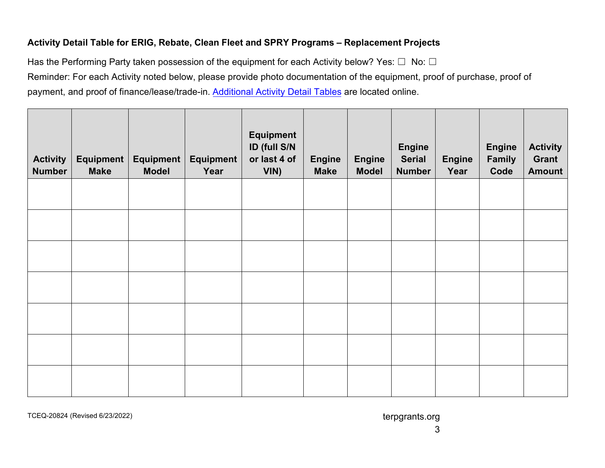## **Activity Detail Table for ERIG, Rebate, Clean Fleet and SPRY Programs – Replacement Projects**

Has the Performing Party taken possession of the equipment for each Activity below? Yes:  $\Box$  No:  $\Box$  Reminder: For each Activity noted below, please provide photo documentation of the equipment, proof of purchase, proof of payment, and proof of finance/lease/trade-in. <u>[Additional Activity Detail Tables](https://www.tceq.texas.gov/downloads/air-quality/terp/reimbursement/reimbursement-additional-activities-20824a.pdf)</u> are [located online.](https://www.tceq.texas.gov/downloads/air-quality/terp/reimbursement/reimbursement-additional-activities-20824a.pdf)

<span id="page-5-0"></span>

| <b>Activity</b><br><b>Number</b> | <b>Equipment</b><br><b>Make</b> | Equipment  <br><b>Model</b> | <b>Equipment</b><br>Year | <b>Equipment</b><br>ID (full S/N<br>or last 4 of<br>VIN) | <b>Engine</b><br><b>Make</b> | <b>Engine</b><br><b>Model</b> | <b>Engine</b><br><b>Serial</b><br><b>Number</b> | <b>Engine</b><br>Year | <b>Engine</b><br><b>Family</b><br>Code | <b>Activity</b><br>Grant<br><b>Amount</b> |
|----------------------------------|---------------------------------|-----------------------------|--------------------------|----------------------------------------------------------|------------------------------|-------------------------------|-------------------------------------------------|-----------------------|----------------------------------------|-------------------------------------------|
|                                  |                                 |                             |                          |                                                          |                              |                               |                                                 |                       |                                        |                                           |
|                                  |                                 |                             |                          |                                                          |                              |                               |                                                 |                       |                                        |                                           |
|                                  |                                 |                             |                          |                                                          |                              |                               |                                                 |                       |                                        |                                           |
|                                  |                                 |                             |                          |                                                          |                              |                               |                                                 |                       |                                        |                                           |
|                                  |                                 |                             |                          |                                                          |                              |                               |                                                 |                       |                                        |                                           |
|                                  |                                 |                             |                          |                                                          |                              |                               |                                                 |                       |                                        |                                           |

TCEQ-20824 (Revised 6/23/2022) and the control of the control of [terpgrants.org](https://terpgrants.org) in the control of terpgrants.org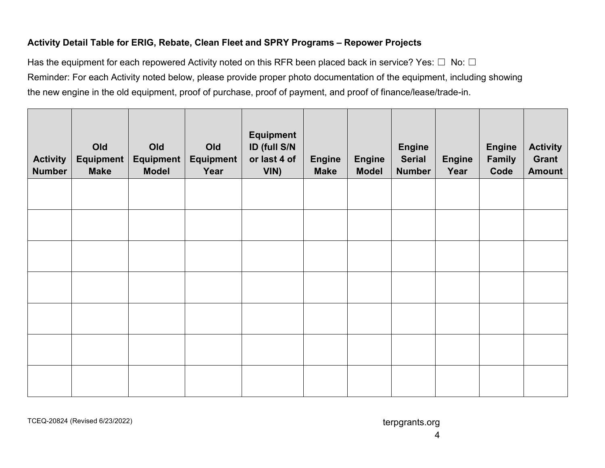## **Activity Detail Table for ERIG, Rebate, Clean Fleet and SPRY Programs – Repower Projects**

Has the equipment for each repowered Activity noted on this RFR been placed back in service? Yes:  $\Box~$  No:  $\Box~$  Reminder: For each Activity noted below, please provide proper photo documentation of the equipment, including showing the new engine in the old equipment, proof of purchase, proof of payment, and proof of finance/lease/trade-in.

<span id="page-6-0"></span>

| <b>Activity</b><br><b>Number</b> | Old<br><b>Equipment</b><br><b>Make</b> | Old<br>Equipment  <br><b>Model</b> | Old<br><b>Equipment</b><br>Year | <b>Equipment</b><br>ID (full S/N<br>or last 4 of<br>VIN) | <b>Engine</b><br><b>Make</b> | <b>Engine</b><br><b>Model</b> | <b>Engine</b><br><b>Serial</b><br><b>Number</b> | <b>Engine</b><br>Year | <b>Engine</b><br>Family<br>Code | <b>Activity</b><br>Grant<br><b>Amount</b> |
|----------------------------------|----------------------------------------|------------------------------------|---------------------------------|----------------------------------------------------------|------------------------------|-------------------------------|-------------------------------------------------|-----------------------|---------------------------------|-------------------------------------------|
|                                  |                                        |                                    |                                 |                                                          |                              |                               |                                                 |                       |                                 |                                           |
|                                  |                                        |                                    |                                 |                                                          |                              |                               |                                                 |                       |                                 |                                           |
|                                  |                                        |                                    |                                 |                                                          |                              |                               |                                                 |                       |                                 |                                           |
|                                  |                                        |                                    |                                 |                                                          |                              |                               |                                                 |                       |                                 |                                           |
|                                  |                                        |                                    |                                 |                                                          |                              |                               |                                                 |                       |                                 |                                           |
|                                  |                                        |                                    |                                 |                                                          |                              |                               |                                                 |                       |                                 |                                           |
|                                  |                                        |                                    |                                 |                                                          |                              |                               |                                                 |                       |                                 |                                           |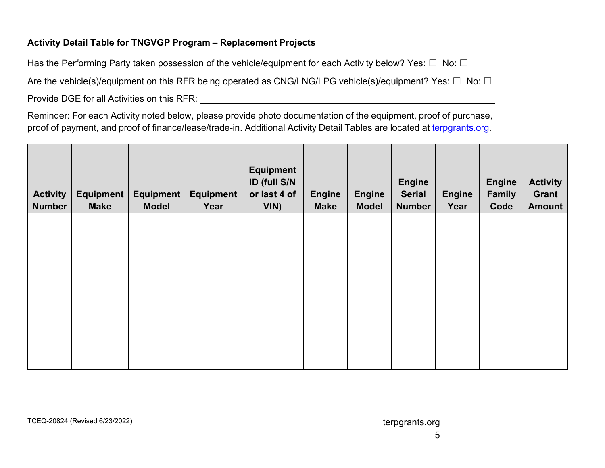## **Activity Detail Table for TNGVGP Program – Replacement Projects**

Has the Performing Party taken possession of the vehicle/equipment for each Activity below? Yes:  $\Box~$  No:  $\Box~$ Are the vehicle(s)/equipment on this RFR being operated as CNG/LNG/LPG vehicle(s)/equipment? Yes:  $\Box~$  No:  $\Box~$ 

Provide DGE for all Activities on this RFR:

 Reminder: For each Activity noted below, please provide photo documentation of the equipment, proof of purchase, proof of payment, and proof of finance/lease/trade-in. Additional Activity Detail Tables are located at <u>terpgrants.org</u>.

<span id="page-7-0"></span>

| <b>Activity</b><br><b>Number</b> | <b>Equipment</b><br><b>Make</b> | Equipment<br><b>Model</b> | <b>Equipment</b><br>Year | <b>Equipment</b><br>ID (full S/N<br>or last 4 of<br>VIN) | <b>Engine</b><br><b>Make</b> | <b>Engine</b><br><b>Model</b> | <b>Engine</b><br><b>Serial</b><br><b>Number</b> | <b>Engine</b><br>Year | <b>Engine</b><br><b>Family</b><br>Code | <b>Activity</b><br><b>Grant</b><br><b>Amount</b> |
|----------------------------------|---------------------------------|---------------------------|--------------------------|----------------------------------------------------------|------------------------------|-------------------------------|-------------------------------------------------|-----------------------|----------------------------------------|--------------------------------------------------|
|                                  |                                 |                           |                          |                                                          |                              |                               |                                                 |                       |                                        |                                                  |
|                                  |                                 |                           |                          |                                                          |                              |                               |                                                 |                       |                                        |                                                  |
|                                  |                                 |                           |                          |                                                          |                              |                               |                                                 |                       |                                        |                                                  |
|                                  |                                 |                           |                          |                                                          |                              |                               |                                                 |                       |                                        |                                                  |
|                                  |                                 |                           |                          |                                                          |                              |                               |                                                 |                       |                                        |                                                  |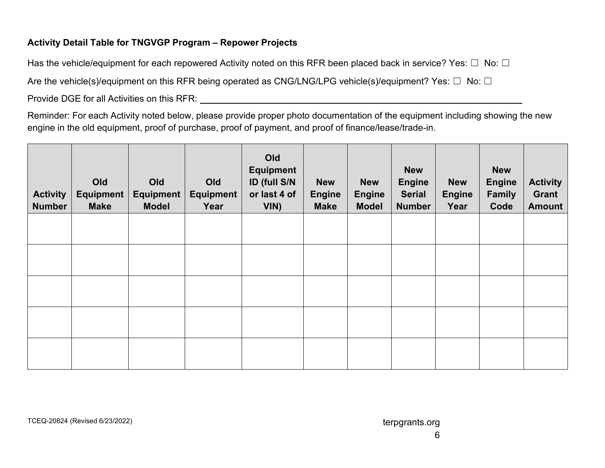## **Activity Detail Table for TNGVGP Program – Repower Projects**

Has the vehicle/equipment for each repowered Activity noted on this RFR been placed back in service? Yes:  $\Box~$  No:  $\Box~$ 

Are the vehicle(s)/equipment on this RFR being operated as CNG/LNG/LPG vehicle(s)/equipment? Yes:  $\Box~$  No:  $\Box~$ 

Provide DGE for all Activities on this RFR:

 Reminder: For each Activity noted below, please provide proper photo documentation of the equipment including showing the new engine in the old equipment, proof of purchase, proof of payment, and proof of finance/lease/trade-in.

<span id="page-8-0"></span>

| <b>Activity</b><br><b>Number</b> | Old<br><b>Equipment</b><br><b>Make</b> | Old<br><b>Equipment</b><br><b>Model</b> | Old<br><b>Equipment</b><br>Year | Old<br><b>Equipment</b><br>ID (full S/N<br>or last 4 of<br>VIN) | <b>New</b><br><b>Engine</b><br><b>Make</b> | <b>New</b><br><b>Engine</b><br><b>Model</b> | <b>New</b><br><b>Engine</b><br><b>Serial</b><br><b>Number</b> | <b>New</b><br><b>Engine</b><br>Year | <b>New</b><br><b>Engine</b><br><b>Family</b><br>Code | <b>Activity</b><br>Grant<br><b>Amount</b> |
|----------------------------------|----------------------------------------|-----------------------------------------|---------------------------------|-----------------------------------------------------------------|--------------------------------------------|---------------------------------------------|---------------------------------------------------------------|-------------------------------------|------------------------------------------------------|-------------------------------------------|
|                                  |                                        |                                         |                                 |                                                                 |                                            |                                             |                                                               |                                     |                                                      |                                           |
|                                  |                                        |                                         |                                 |                                                                 |                                            |                                             |                                                               |                                     |                                                      |                                           |
|                                  |                                        |                                         |                                 |                                                                 |                                            |                                             |                                                               |                                     |                                                      |                                           |
|                                  |                                        |                                         |                                 |                                                                 |                                            |                                             |                                                               |                                     |                                                      |                                           |
|                                  |                                        |                                         |                                 |                                                                 |                                            |                                             |                                                               |                                     |                                                      |                                           |